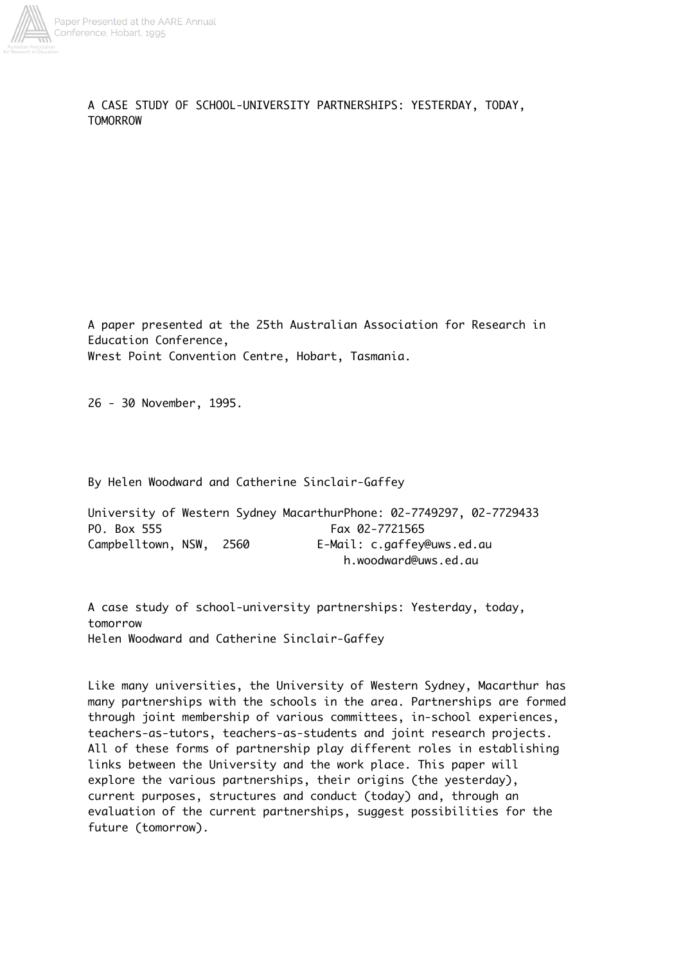

A CASE STUDY OF SCHOOL-UNIVERSITY PARTNERSHIPS: YESTERDAY, TODAY, TOMORROW

A paper presented at the 25th Australian Association for Research in Education Conference, Wrest Point Convention Centre, Hobart, Tasmania.

26 - 30 November, 1995.

By Helen Woodward and Catherine Sinclair-Gaffey

University of Western Sydney MacarthurPhone: 02-7749297, 02-7729433 PO. Box 555 Fax 02-7721565 Campbelltown, NSW, 2560 E-Mail: c.gaffey@uws.ed.au h.woodward@uws.ed.au

A case study of school-university partnerships: Yesterday, today, tomorrow Helen Woodward and Catherine Sinclair-Gaffey

Like many universities, the University of Western Sydney, Macarthur has many partnerships with the schools in the area. Partnerships are formed through joint membership of various committees, in-school experiences, teachers-as-tutors, teachers-as-students and joint research projects. All of these forms of partnership play different roles in establishing links between the University and the work place. This paper will explore the various partnerships, their origins (the yesterday), current purposes, structures and conduct (today) and, through an evaluation of the current partnerships, suggest possibilities for the future (tomorrow).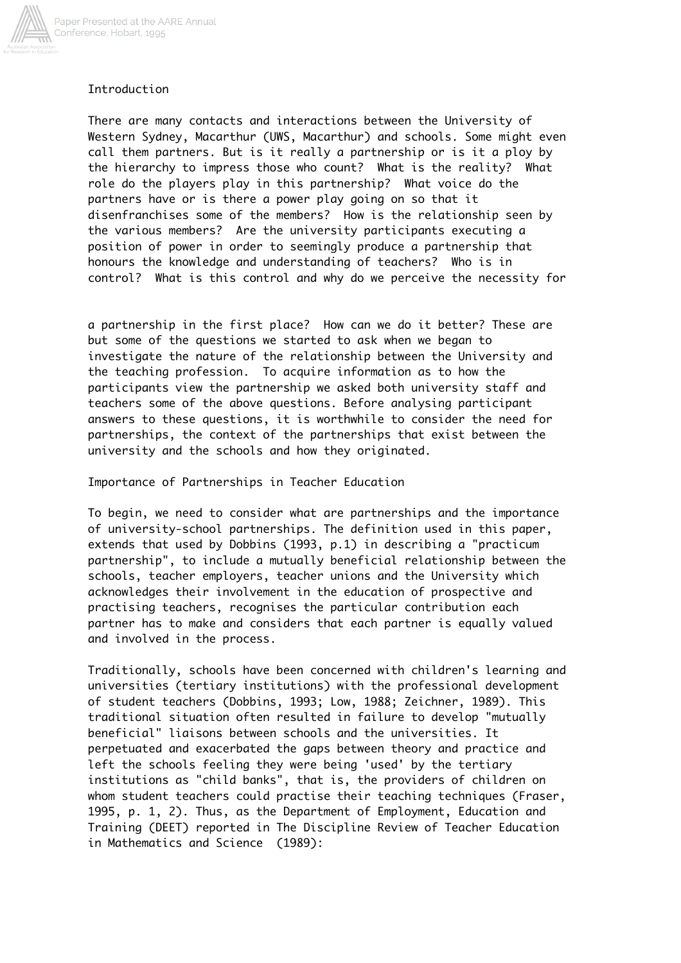

## Introduction

There are many contacts and interactions between the University of Western Sydney, Macarthur (UWS, Macarthur) and schools. Some might even call them partners. But is it really a partnership or is it a ploy by the hierarchy to impress those who count? What is the reality? What role do the players play in this partnership? What voice do the partners have or is there a power play going on so that it disenfranchises some of the members? How is the relationship seen by the various members? Are the university participants executing a position of power in order to seemingly produce a partnership that honours the knowledge and understanding of teachers? Who is in control? What is this control and why do we perceive the necessity for

a partnership in the first place? How can we do it better? These are but some of the questions we started to ask when we began to investigate the nature of the relationship between the University and the teaching profession. To acquire information as to how the participants view the partnership we asked both university staff and teachers some of the above questions. Before analysing participant answers to these questions, it is worthwhile to consider the need for partnerships, the context of the partnerships that exist between the university and the schools and how they originated.

Importance of Partnerships in Teacher Education

To begin, we need to consider what are partnerships and the importance of university-school partnerships. The definition used in this paper, extends that used by Dobbins (1993, p.1) in describing a "practicum partnership", to include a mutually beneficial relationship between the schools, teacher employers, teacher unions and the University which acknowledges their involvement in the education of prospective and practising teachers, recognises the particular contribution each partner has to make and considers that each partner is equally valued and involved in the process.

Traditionally, schools have been concerned with children's learning and universities (tertiary institutions) with the professional development of student teachers (Dobbins, 1993; Low, 1988; Zeichner, 1989). This traditional situation often resulted in failure to develop "mutually beneficial" liaisons between schools and the universities. It perpetuated and exacerbated the gaps between theory and practice and left the schools feeling they were being 'used' by the tertiary institutions as "child banks", that is, the providers of children on whom student teachers could practise their teaching techniques (Fraser, 1995, p. 1, 2). Thus, as the Department of Employment, Education and Training (DEET) reported in The Discipline Review of Teacher Education in Mathematics and Science (1989):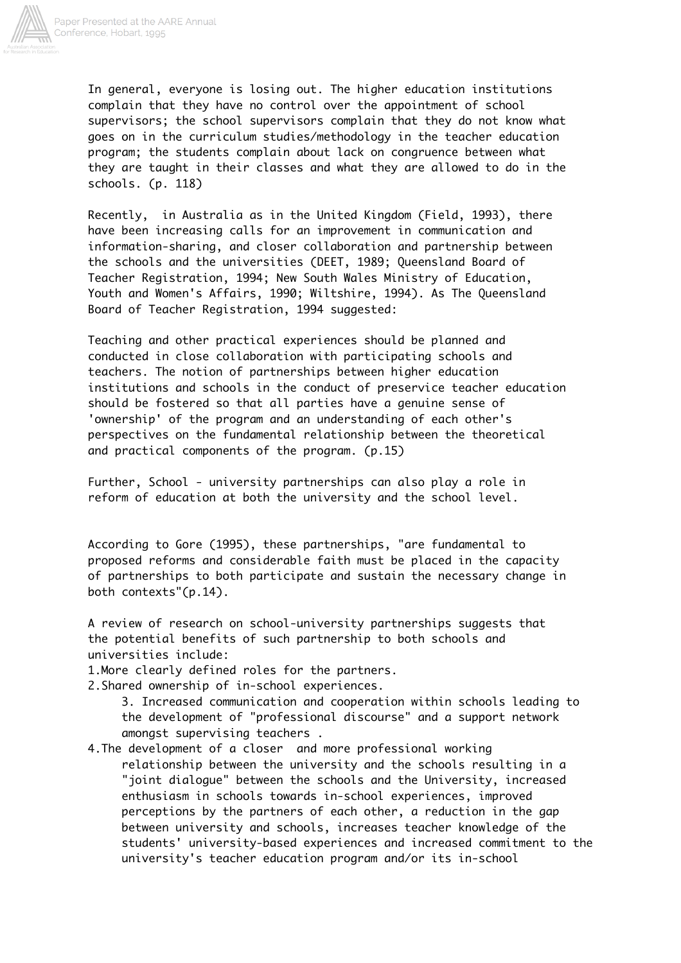

In general, everyone is losing out. The higher education institutions complain that they have no control over the appointment of school supervisors; the school supervisors complain that they do not know what goes on in the curriculum studies/methodology in the teacher education program; the students complain about lack on congruence between what they are taught in their classes and what they are allowed to do in the schools. (p. 118)

Recently, in Australia as in the United Kingdom (Field, 1993), there have been increasing calls for an improvement in communication and information-sharing, and closer collaboration and partnership between the schools and the universities (DEET, 1989; Queensland Board of Teacher Registration, 1994; New South Wales Ministry of Education, Youth and Women's Affairs, 1990; Wiltshire, 1994). As The Queensland Board of Teacher Registration, 1994 suggested:

Teaching and other practical experiences should be planned and conducted in close collaboration with participating schools and teachers. The notion of partnerships between higher education institutions and schools in the conduct of preservice teacher education should be fostered so that all parties have a genuine sense of 'ownership' of the program and an understanding of each other's perspectives on the fundamental relationship between the theoretical and practical components of the program. (p.15)

Further, School - university partnerships can also play a role in reform of education at both the university and the school level.

According to Gore (1995), these partnerships, "are fundamental to proposed reforms and considerable faith must be placed in the capacity of partnerships to both participate and sustain the necessary change in both contexts"(p.14).

A review of research on school-university partnerships suggests that the potential benefits of such partnership to both schools and universities include:

1.More clearly defined roles for the partners.

2.Shared ownership of in-school experiences.

 3. Increased communication and cooperation within schools leading to the development of "professional discourse" and a support network amongst supervising teachers .

4.The development of a closer and more professional working relationship between the university and the schools resulting in a "joint dialogue" between the schools and the University, increased enthusiasm in schools towards in-school experiences, improved perceptions by the partners of each other, a reduction in the gap between university and schools, increases teacher knowledge of the students' university-based experiences and increased commitment to the university's teacher education program and/or its in-school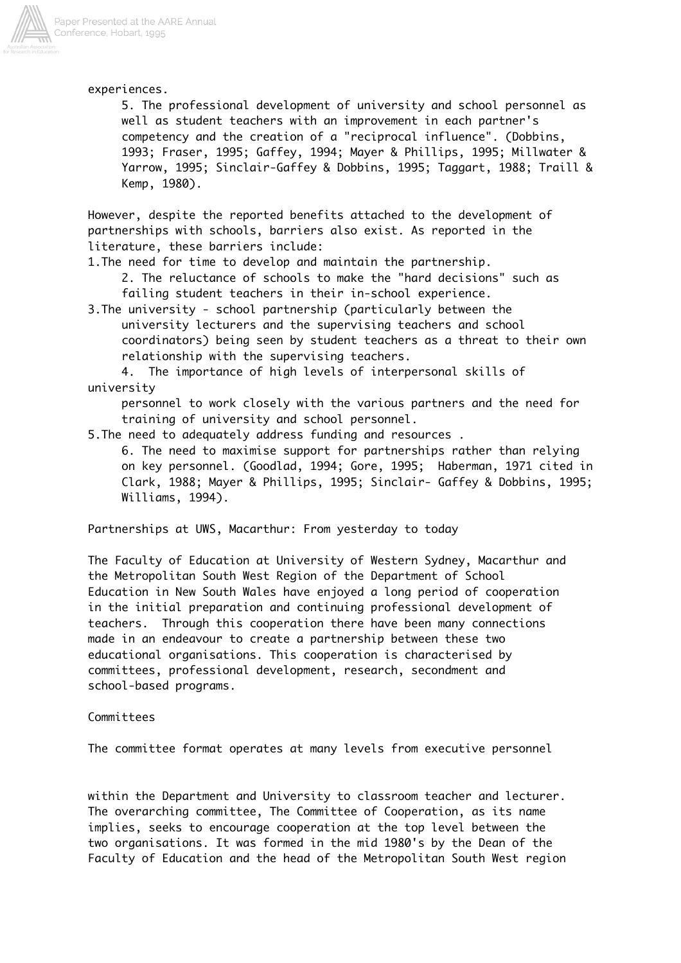

experiences.

 5. The professional development of university and school personnel as well as student teachers with an improvement in each partner's competency and the creation of a "reciprocal influence". (Dobbins, 1993; Fraser, 1995; Gaffey, 1994; Mayer & Phillips, 1995; Millwater & Yarrow, 1995; Sinclair-Gaffey & Dobbins, 1995; Taggart, 1988; Traill & Kemp, 1980).

However, despite the reported benefits attached to the development of partnerships with schools, barriers also exist. As reported in the literature, these barriers include:

1.The need for time to develop and maintain the partnership.

 2. The reluctance of schools to make the "hard decisions" such as failing student teachers in their in-school experience.

3.The university - school partnership (particularly between the university lecturers and the supervising teachers and school coordinators) being seen by student teachers as a threat to their own relationship with the supervising teachers.

 4. The importance of high levels of interpersonal skills of university

 personnel to work closely with the various partners and the need for training of university and school personnel.

5.The need to adequately address funding and resources .

 6. The need to maximise support for partnerships rather than relying on key personnel. (Goodlad, 1994; Gore, 1995; Haberman, 1971 cited in Clark, 1988; Mayer & Phillips, 1995; Sinclair- Gaffey & Dobbins, 1995; Williams, 1994).

Partnerships at UWS, Macarthur: From yesterday to today

The Faculty of Education at University of Western Sydney, Macarthur and the Metropolitan South West Region of the Department of School Education in New South Wales have enjoyed a long period of cooperation in the initial preparation and continuing professional development of teachers. Through this cooperation there have been many connections made in an endeavour to create a partnership between these two educational organisations. This cooperation is characterised by committees, professional development, research, secondment and school-based programs.

#### Committees

The committee format operates at many levels from executive personnel

within the Department and University to classroom teacher and lecturer. The overarching committee, The Committee of Cooperation, as its name implies, seeks to encourage cooperation at the top level between the two organisations. It was formed in the mid 1980's by the Dean of the Faculty of Education and the head of the Metropolitan South West region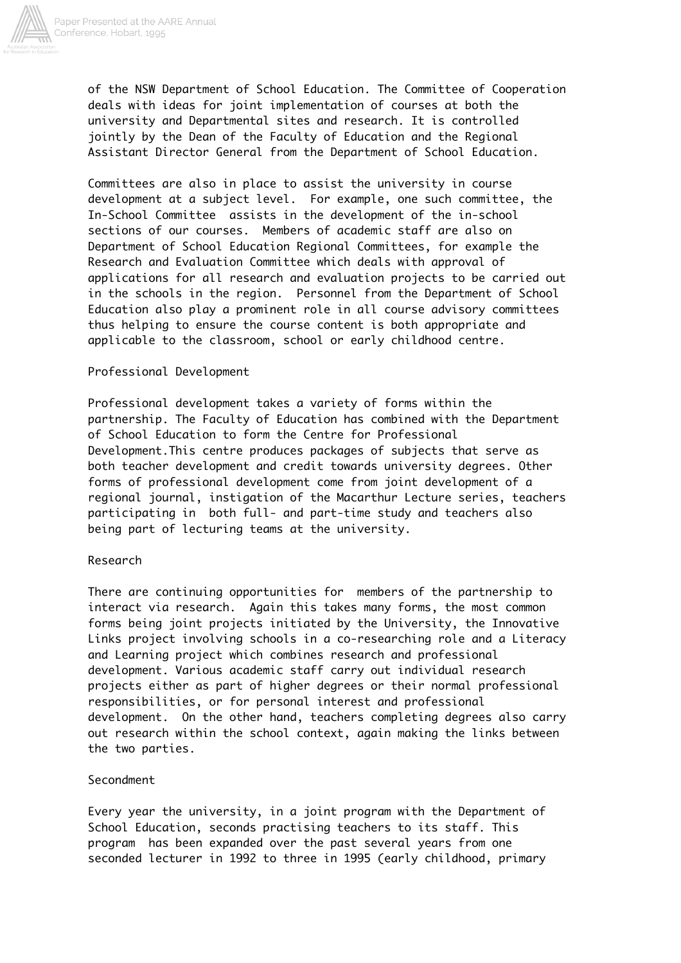

of the NSW Department of School Education. The Committee of Cooperation deals with ideas for joint implementation of courses at both the university and Departmental sites and research. It is controlled jointly by the Dean of the Faculty of Education and the Regional Assistant Director General from the Department of School Education.

Committees are also in place to assist the university in course development at a subject level. For example, one such committee, the In-School Committee assists in the development of the in-school sections of our courses. Members of academic staff are also on Department of School Education Regional Committees, for example the Research and Evaluation Committee which deals with approval of applications for all research and evaluation projects to be carried out in the schools in the region. Personnel from the Department of School Education also play a prominent role in all course advisory committees thus helping to ensure the course content is both appropriate and applicable to the classroom, school or early childhood centre.

### Professional Development

Professional development takes a variety of forms within the partnership. The Faculty of Education has combined with the Department of School Education to form the Centre for Professional Development.This centre produces packages of subjects that serve as both teacher development and credit towards university degrees. Other forms of professional development come from joint development of a regional journal, instigation of the Macarthur Lecture series, teachers participating in both full- and part-time study and teachers also being part of lecturing teams at the university.

#### Research

There are continuing opportunities for members of the partnership to interact via research. Again this takes many forms, the most common forms being joint projects initiated by the University, the Innovative Links project involving schools in a co-researching role and a Literacy and Learning project which combines research and professional development. Various academic staff carry out individual research projects either as part of higher degrees or their normal professional responsibilities, or for personal interest and professional development. On the other hand, teachers completing degrees also carry out research within the school context, again making the links between the two parties.

### Secondment

Every year the university, in a joint program with the Department of School Education, seconds practising teachers to its staff. This program has been expanded over the past several years from one seconded lecturer in 1992 to three in 1995 (early childhood, primary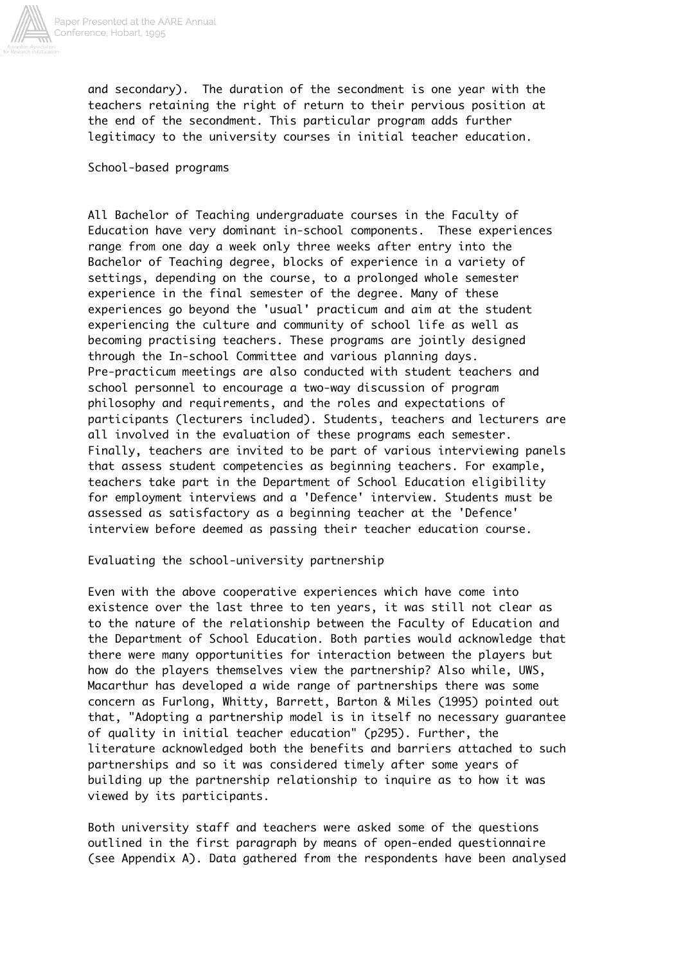

and secondary). The duration of the secondment is one year with the teachers retaining the right of return to their pervious position at the end of the secondment. This particular program adds further legitimacy to the university courses in initial teacher education.

School-based programs

All Bachelor of Teaching undergraduate courses in the Faculty of Education have very dominant in-school components. These experiences range from one day a week only three weeks after entry into the Bachelor of Teaching degree, blocks of experience in a variety of settings, depending on the course, to a prolonged whole semester experience in the final semester of the degree. Many of these experiences go beyond the 'usual' practicum and aim at the student experiencing the culture and community of school life as well as becoming practising teachers. These programs are jointly designed through the In-school Committee and various planning days. Pre-practicum meetings are also conducted with student teachers and school personnel to encourage a two-way discussion of program philosophy and requirements, and the roles and expectations of participants (lecturers included). Students, teachers and lecturers are all involved in the evaluation of these programs each semester. Finally, teachers are invited to be part of various interviewing panels that assess student competencies as beginning teachers. For example, teachers take part in the Department of School Education eligibility for employment interviews and a 'Defence' interview. Students must be assessed as satisfactory as a beginning teacher at the 'Defence' interview before deemed as passing their teacher education course.

### Evaluating the school-university partnership

Even with the above cooperative experiences which have come into existence over the last three to ten years, it was still not clear as to the nature of the relationship between the Faculty of Education and the Department of School Education. Both parties would acknowledge that there were many opportunities for interaction between the players but how do the players themselves view the partnership? Also while, UWS, Macarthur has developed a wide range of partnerships there was some concern as Furlong, Whitty, Barrett, Barton & Miles (1995) pointed out that, "Adopting a partnership model is in itself no necessary guarantee of quality in initial teacher education" (p295). Further, the literature acknowledged both the benefits and barriers attached to such partnerships and so it was considered timely after some years of building up the partnership relationship to inquire as to how it was viewed by its participants.

Both university staff and teachers were asked some of the questions outlined in the first paragraph by means of open-ended questionnaire (see Appendix A). Data gathered from the respondents have been analysed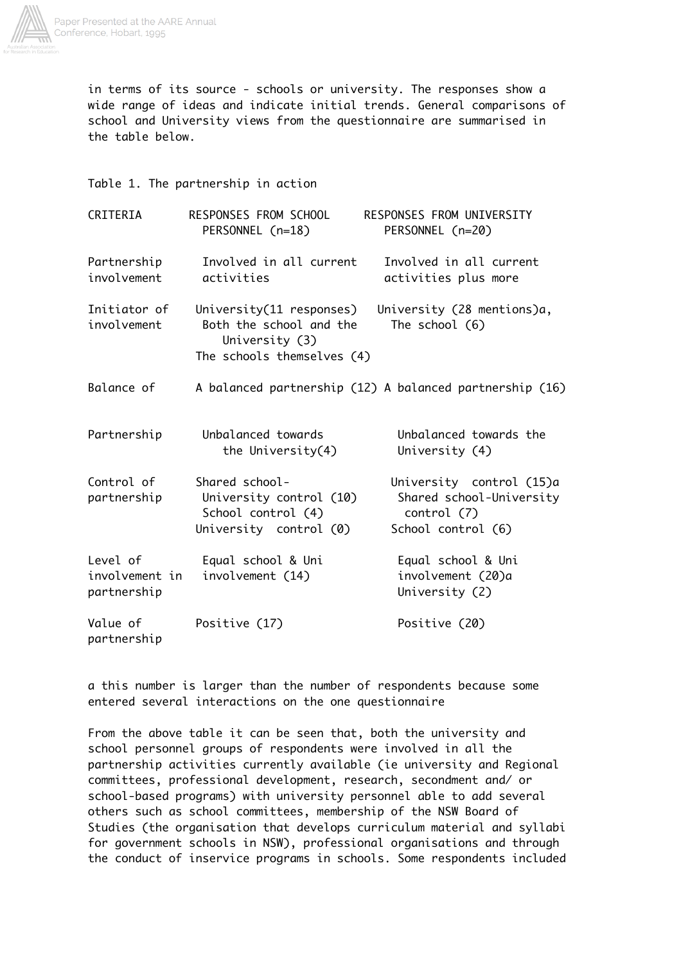

in terms of its source - schools or university. The responses show a wide range of ideas and indicate initial trends. General comparisons of school and University views from the questionnaire are summarised in the table below.

Table 1. The partnership in action

| CRITERIA                                  | RESPONSES FROM SCHOOL<br>PERSONNEL (n=18)                                                           | RESPONSES FROM UNIVERSITY<br>PERSONNEL (n=20)                                             |
|-------------------------------------------|-----------------------------------------------------------------------------------------------------|-------------------------------------------------------------------------------------------|
| Partnership<br>involvement                | Involved in all current<br>activities                                                               | Involved in all current<br>activities plus more                                           |
| Initiator of<br>involvement               | University(11 responses)<br>Both the school and the<br>University (3)<br>The schools themselves (4) | University (28 mentions)a,<br>The school (6)                                              |
| Balance of                                |                                                                                                     | A balanced partnership (12) A balanced partnership (16)                                   |
| Partnership                               | Unbalanced towards<br>the University(4)                                                             | Unbalanced towards the<br>University (4)                                                  |
| Control of<br>partnership                 | Shared school-<br>University control (10)<br>School control (4)<br>University control (0)           | University control (15)a<br>Shared school-University<br>control (7)<br>School control (6) |
| Level of<br>involvement in<br>partnership | Equal school & Uni<br>involvement (14)                                                              | Equal school & Uni<br>involvement (20)a<br>University (2)                                 |
| Value of<br>partnership                   | Positive (17)                                                                                       | Positive (20)                                                                             |

a this number is larger than the number of respondents because some entered several interactions on the one questionnaire

From the above table it can be seen that, both the university and school personnel groups of respondents were involved in all the partnership activities currently available (ie university and Regional committees, professional development, research, secondment and/ or school-based programs) with university personnel able to add several others such as school committees, membership of the NSW Board of Studies (the organisation that develops curriculum material and syllabi for government schools in NSW), professional organisations and through the conduct of inservice programs in schools. Some respondents included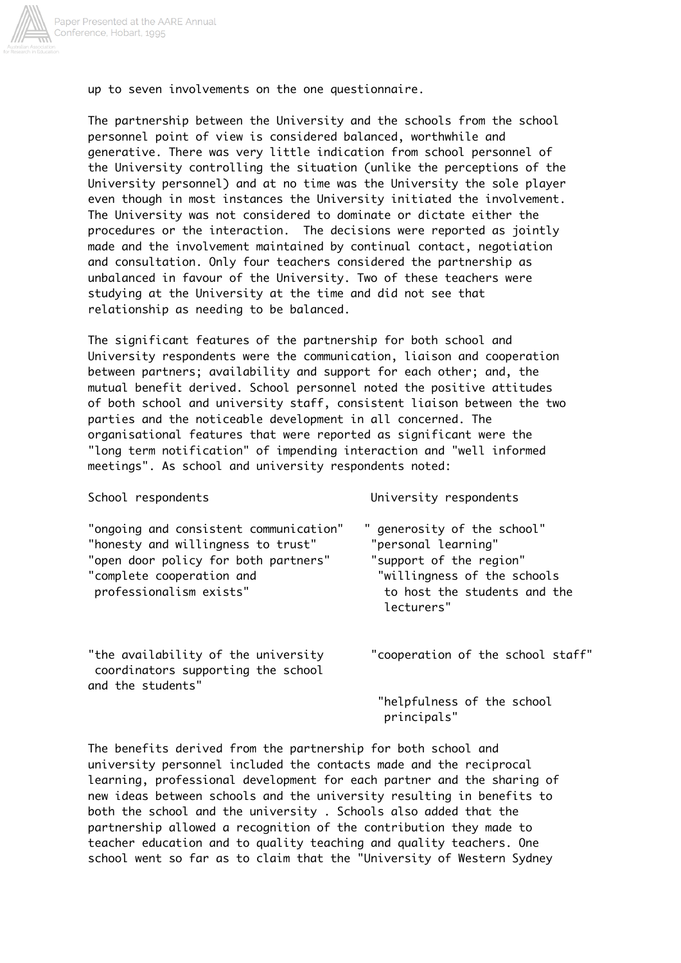

up to seven involvements on the one questionnaire.

The partnership between the University and the schools from the school personnel point of view is considered balanced, worthwhile and generative. There was very little indication from school personnel of the University controlling the situation (unlike the perceptions of the University personnel) and at no time was the University the sole player even though in most instances the University initiated the involvement. The University was not considered to dominate or dictate either the procedures or the interaction. The decisions were reported as jointly made and the involvement maintained by continual contact, negotiation and consultation. Only four teachers considered the partnership as unbalanced in favour of the University. Two of these teachers were studying at the University at the time and did not see that relationship as needing to be balanced.

The significant features of the partnership for both school and University respondents were the communication, liaison and cooperation between partners; availability and support for each other; and, the mutual benefit derived. School personnel noted the positive attitudes of both school and university staff, consistent liaison between the two parties and the noticeable development in all concerned. The organisational features that were reported as significant were the "long term notification" of impending interaction and "well informed meetings". As school and university respondents noted:

| School respondents                                                                                                                                                           | University respondents                                                                                                                                     |
|------------------------------------------------------------------------------------------------------------------------------------------------------------------------------|------------------------------------------------------------------------------------------------------------------------------------------------------------|
| "ongoing and consistent communication"<br>"honesty and willingness to trust"<br>"open door policy for both partners"<br>"complete cooperation and<br>professionalism exists" | " generosity of the school"<br>"personal learning"<br>"support of the region"<br>"willingness of the schools<br>to host the students and the<br>lecturers" |
| "the availability of the university<br>coordinators supporting the school<br>and the students"                                                                               | "cooperation of the school staff"                                                                                                                          |
|                                                                                                                                                                              | $H = 7.6$                                                                                                                                                  |

helpfulness of the school principals"

The benefits derived from the partnership for both school and university personnel included the contacts made and the reciprocal learning, professional development for each partner and the sharing of new ideas between schools and the university resulting in benefits to both the school and the university . Schools also added that the partnership allowed a recognition of the contribution they made to teacher education and to quality teaching and quality teachers. One school went so far as to claim that the "University of Western Sydney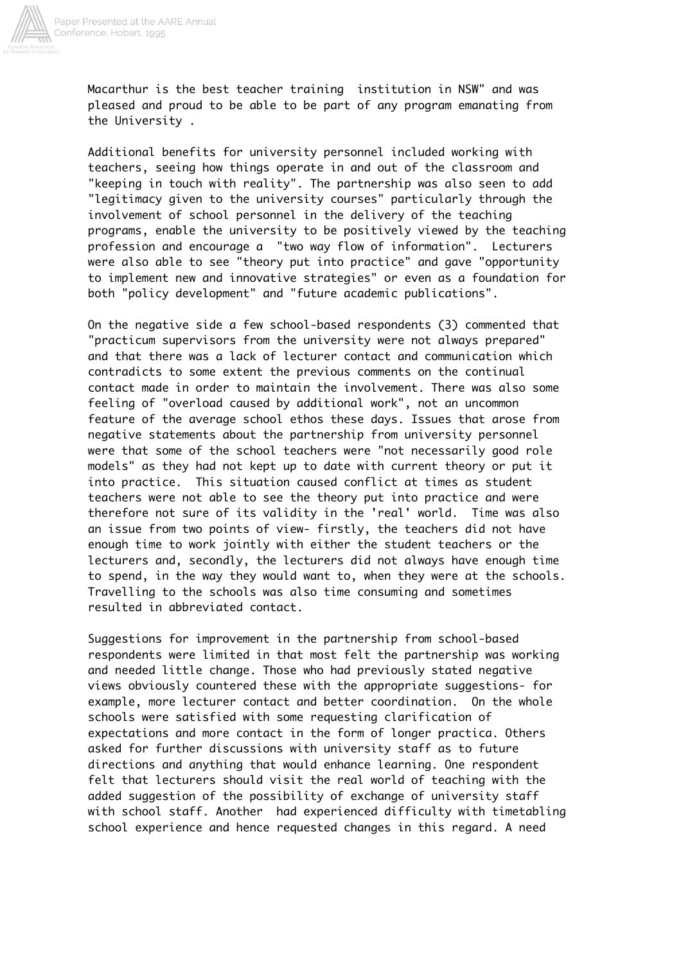

Macarthur is the best teacher training institution in NSW" and was pleased and proud to be able to be part of any program emanating from the University .

Additional benefits for university personnel included working with teachers, seeing how things operate in and out of the classroom and "keeping in touch with reality". The partnership was also seen to add "legitimacy given to the university courses" particularly through the involvement of school personnel in the delivery of the teaching programs, enable the university to be positively viewed by the teaching profession and encourage a "two way flow of information". Lecturers were also able to see "theory put into practice" and gave "opportunity to implement new and innovative strategies" or even as a foundation for both "policy development" and "future academic publications".

On the negative side a few school-based respondents (3) commented that "practicum supervisors from the university were not always prepared" and that there was a lack of lecturer contact and communication which contradicts to some extent the previous comments on the continual contact made in order to maintain the involvement. There was also some feeling of "overload caused by additional work", not an uncommon feature of the average school ethos these days. Issues that arose from negative statements about the partnership from university personnel were that some of the school teachers were "not necessarily good role models" as they had not kept up to date with current theory or put it into practice. This situation caused conflict at times as student teachers were not able to see the theory put into practice and were therefore not sure of its validity in the 'real' world. Time was also an issue from two points of view- firstly, the teachers did not have enough time to work jointly with either the student teachers or the lecturers and, secondly, the lecturers did not always have enough time to spend, in the way they would want to, when they were at the schools. Travelling to the schools was also time consuming and sometimes resulted in abbreviated contact.

Suggestions for improvement in the partnership from school-based respondents were limited in that most felt the partnership was working and needed little change. Those who had previously stated negative views obviously countered these with the appropriate suggestions- for example, more lecturer contact and better coordination. On the whole schools were satisfied with some requesting clarification of expectations and more contact in the form of longer practica. Others asked for further discussions with university staff as to future directions and anything that would enhance learning. One respondent felt that lecturers should visit the real world of teaching with the added suggestion of the possibility of exchange of university staff with school staff. Another had experienced difficulty with timetabling school experience and hence requested changes in this regard. A need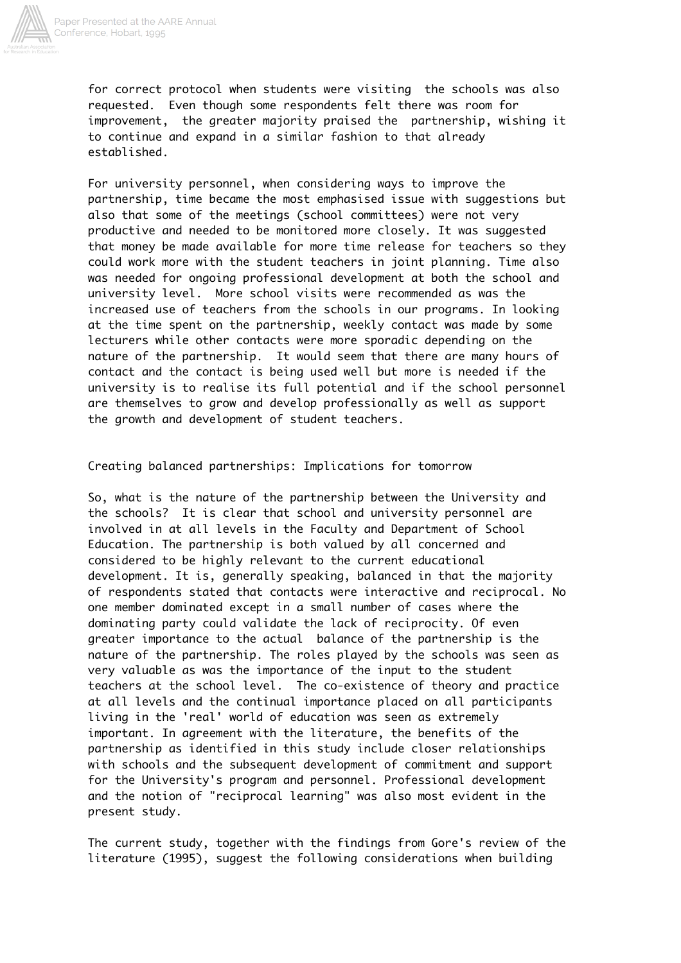

for correct protocol when students were visiting the schools was also requested. Even though some respondents felt there was room for improvement, the greater majority praised the partnership, wishing it to continue and expand in a similar fashion to that already established.

For university personnel, when considering ways to improve the partnership, time became the most emphasised issue with suggestions but also that some of the meetings (school committees) were not very productive and needed to be monitored more closely. It was suggested that money be made available for more time release for teachers so they could work more with the student teachers in joint planning. Time also was needed for ongoing professional development at both the school and university level. More school visits were recommended as was the increased use of teachers from the schools in our programs. In looking at the time spent on the partnership, weekly contact was made by some lecturers while other contacts were more sporadic depending on the nature of the partnership. It would seem that there are many hours of contact and the contact is being used well but more is needed if the university is to realise its full potential and if the school personnel are themselves to grow and develop professionally as well as support the growth and development of student teachers.

Creating balanced partnerships: Implications for tomorrow

So, what is the nature of the partnership between the University and the schools? It is clear that school and university personnel are involved in at all levels in the Faculty and Department of School Education. The partnership is both valued by all concerned and considered to be highly relevant to the current educational development. It is, generally speaking, balanced in that the majority of respondents stated that contacts were interactive and reciprocal. No one member dominated except in a small number of cases where the dominating party could validate the lack of reciprocity. Of even greater importance to the actual balance of the partnership is the nature of the partnership. The roles played by the schools was seen as very valuable as was the importance of the input to the student teachers at the school level. The co-existence of theory and practice at all levels and the continual importance placed on all participants living in the 'real' world of education was seen as extremely important. In agreement with the literature, the benefits of the partnership as identified in this study include closer relationships with schools and the subsequent development of commitment and support for the University's program and personnel. Professional development and the notion of "reciprocal learning" was also most evident in the present study.

The current study, together with the findings from Gore's review of the literature (1995), suggest the following considerations when building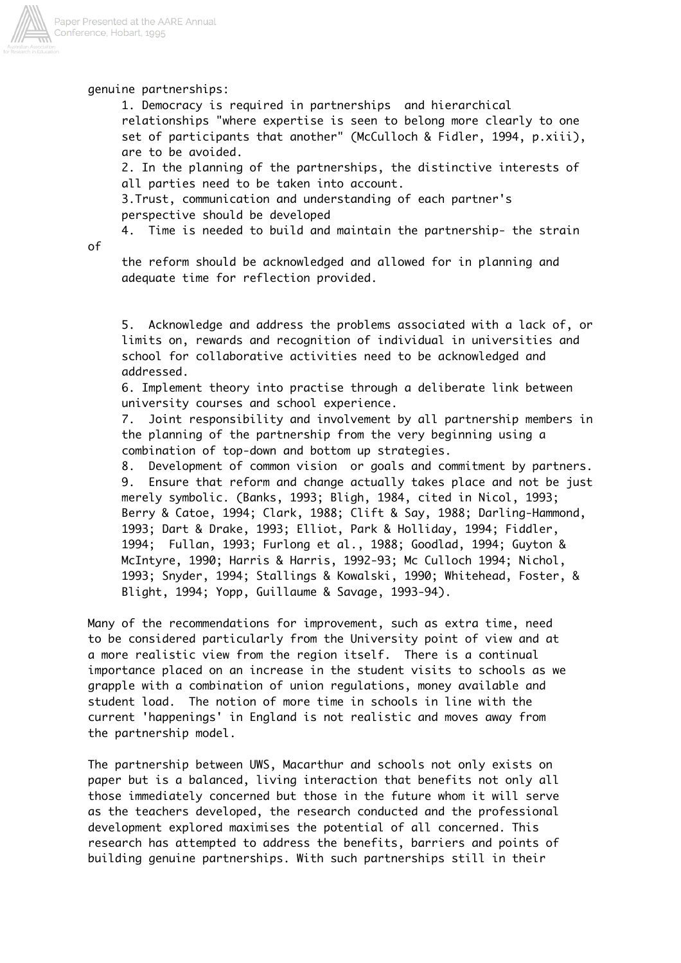

genuine partnerships:

 1. Democracy is required in partnerships and hierarchical relationships "where expertise is seen to belong more clearly to one set of participants that another" (McCulloch & Fidler, 1994, p.xiii), are to be avoided.

 2. In the planning of the partnerships, the distinctive interests of all parties need to be taken into account.

 3.Trust, communication and understanding of each partner's perspective should be developed

4. Time is needed to build and maintain the partnership- the strain

of

 the reform should be acknowledged and allowed for in planning and adequate time for reflection provided.

 5. Acknowledge and address the problems associated with a lack of, or limits on, rewards and recognition of individual in universities and school for collaborative activities need to be acknowledged and addressed.

 6. Implement theory into practise through a deliberate link between university courses and school experience.

 7. Joint responsibility and involvement by all partnership members in the planning of the partnership from the very beginning using a combination of top-down and bottom up strategies.

 8. Development of common vision or goals and commitment by partners. 9. Ensure that reform and change actually takes place and not be just merely symbolic. (Banks, 1993; Bligh, 1984, cited in Nicol, 1993; Berry & Catoe, 1994; Clark, 1988; Clift & Say, 1988; Darling-Hammond, 1993; Dart & Drake, 1993; Elliot, Park & Holliday, 1994; Fiddler, 1994; Fullan, 1993; Furlong et al., 1988; Goodlad, 1994; Guyton & McIntyre, 1990; Harris & Harris, 1992-93; Mc Culloch 1994; Nichol, 1993; Snyder, 1994; Stallings & Kowalski, 1990; Whitehead, Foster, & Blight, 1994; Yopp, Guillaume & Savage, 1993-94).

Many of the recommendations for improvement, such as extra time, need to be considered particularly from the University point of view and at a more realistic view from the region itself. There is a continual importance placed on an increase in the student visits to schools as we grapple with a combination of union regulations, money available and student load. The notion of more time in schools in line with the current 'happenings' in England is not realistic and moves away from the partnership model.

The partnership between UWS, Macarthur and schools not only exists on paper but is a balanced, living interaction that benefits not only all those immediately concerned but those in the future whom it will serve as the teachers developed, the research conducted and the professional development explored maximises the potential of all concerned. This research has attempted to address the benefits, barriers and points of building genuine partnerships. With such partnerships still in their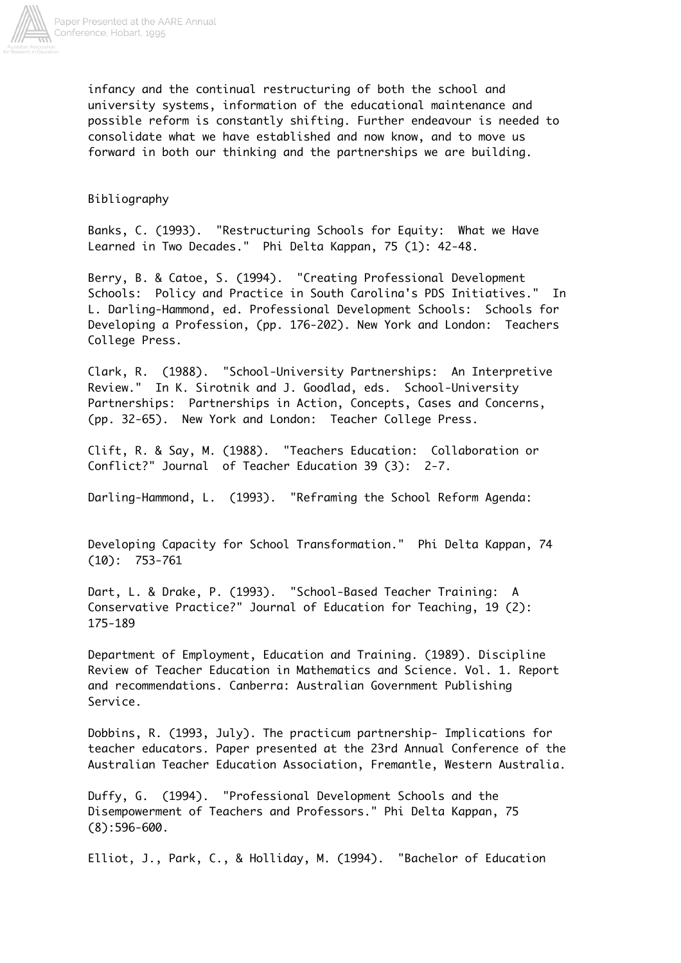

infancy and the continual restructuring of both the school and university systems, information of the educational maintenance and possible reform is constantly shifting. Further endeavour is needed to consolidate what we have established and now know, and to move us forward in both our thinking and the partnerships we are building.

## Bibliography

Banks, C. (1993). "Restructuring Schools for Equity: What we Have Learned in Two Decades." Phi Delta Kappan, 75 (1): 42-48.

Berry, B. & Catoe, S. (1994). "Creating Professional Development Schools: Policy and Practice in South Carolina's PDS Initiatives." In L. Darling-Hammond, ed. Professional Development Schools: Schools for Developing a Profession, (pp. 176-202). New York and London: Teachers College Press.

Clark, R. (1988). "School-University Partnerships: An Interpretive Review." In K. Sirotnik and J. Goodlad, eds. School-University Partnerships: Partnerships in Action, Concepts, Cases and Concerns, (pp. 32-65). New York and London: Teacher College Press.

Clift, R. & Say, M. (1988). "Teachers Education: Collaboration or Conflict?" Journal of Teacher Education 39 (3): 2-7.

Darling-Hammond, L. (1993). "Reframing the School Reform Agenda:

Developing Capacity for School Transformation." Phi Delta Kappan, 74 (10): 753-761

Dart, L. & Drake, P. (1993). "School-Based Teacher Training: A Conservative Practice?" Journal of Education for Teaching, 19 (2): 175-189

Department of Employment, Education and Training. (1989). Discipline Review of Teacher Education in Mathematics and Science. Vol. 1. Report and recommendations. Canberra: Australian Government Publishing Service.

Dobbins, R. (1993, July). The practicum partnership- Implications for teacher educators. Paper presented at the 23rd Annual Conference of the Australian Teacher Education Association, Fremantle, Western Australia.

Duffy, G. (1994). "Professional Development Schools and the Disempowerment of Teachers and Professors." Phi Delta Kappan, 75 (8):596-600.

Elliot, J., Park, C., & Holliday, M. (1994). "Bachelor of Education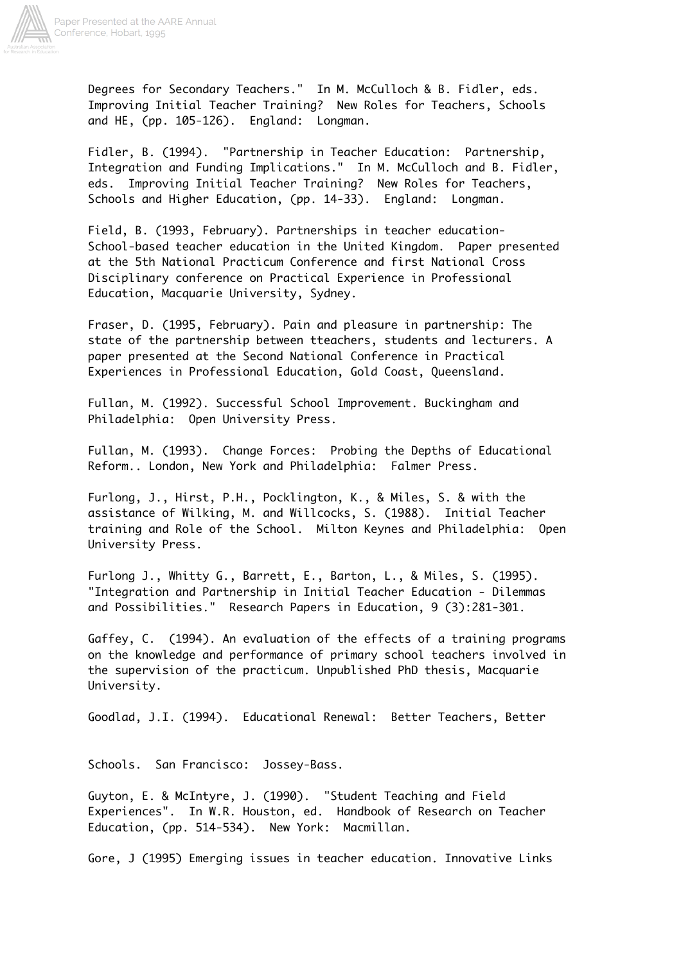

Degrees for Secondary Teachers." In M. McCulloch & B. Fidler, eds. Improving Initial Teacher Training? New Roles for Teachers, Schools and HE, (pp. 105-126). England: Longman.

Fidler, B. (1994). "Partnership in Teacher Education: Partnership, Integration and Funding Implications." In M. McCulloch and B. Fidler, eds. Improving Initial Teacher Training? New Roles for Teachers, Schools and Higher Education, (pp. 14-33). England: Longman.

Field, B. (1993, February). Partnerships in teacher education-School-based teacher education in the United Kingdom. Paper presented at the 5th National Practicum Conference and first National Cross Disciplinary conference on Practical Experience in Professional Education, Macquarie University, Sydney.

Fraser, D. (1995, February). Pain and pleasure in partnership: The state of the partnership between tteachers, students and lecturers. A paper presented at the Second National Conference in Practical Experiences in Professional Education, Gold Coast, Queensland.

Fullan, M. (1992). Successful School Improvement. Buckingham and Philadelphia: Open University Press.

Fullan, M. (1993). Change Forces: Probing the Depths of Educational Reform.. London, New York and Philadelphia: Falmer Press.

Furlong, J., Hirst, P.H., Pocklington, K., & Miles, S. & with the assistance of Wilking, M. and Willcocks, S. (1988). Initial Teacher training and Role of the School. Milton Keynes and Philadelphia: Open University Press.

Furlong J., Whitty G., Barrett, E., Barton, L., & Miles, S. (1995). "Integration and Partnership in Initial Teacher Education - Dilemmas and Possibilities." Research Papers in Education, 9 (3):281-301.

Gaffey, C. (1994). An evaluation of the effects of a training programs on the knowledge and performance of primary school teachers involved in the supervision of the practicum. Unpublished PhD thesis, Macquarie University.

Goodlad, J.I. (1994). Educational Renewal: Better Teachers, Better

Schools. San Francisco: Jossey-Bass.

Guyton, E. & McIntyre, J. (1990). "Student Teaching and Field Experiences". In W.R. Houston, ed. Handbook of Research on Teacher Education, (pp. 514-534). New York: Macmillan.

Gore, J (1995) Emerging issues in teacher education. Innovative Links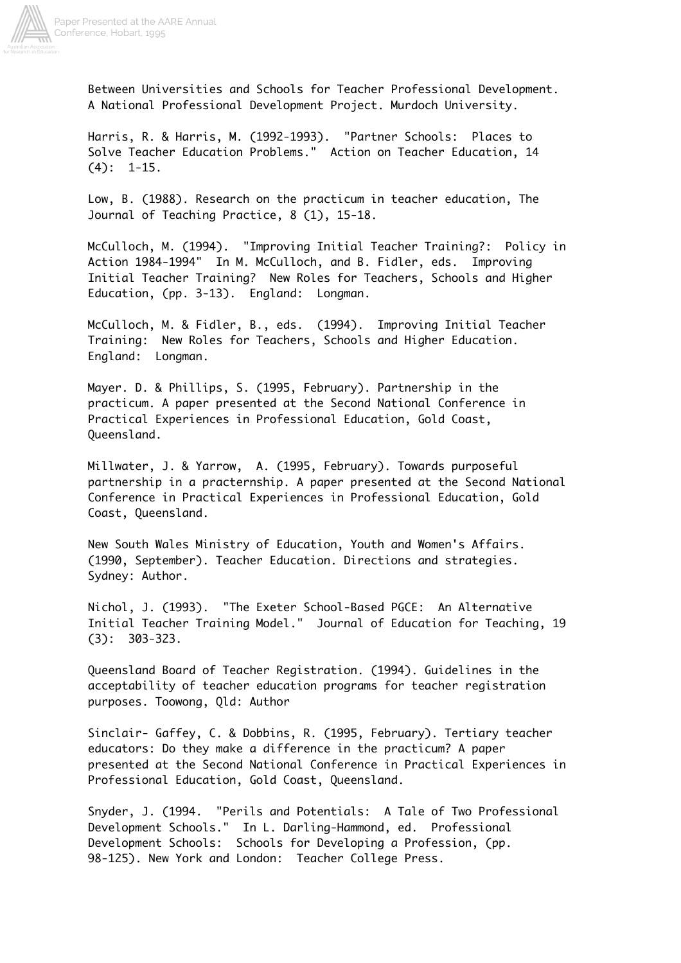

Between Universities and Schools for Teacher Professional Development. A National Professional Development Project. Murdoch University.

Harris, R. & Harris, M. (1992-1993). "Partner Schools: Places to Solve Teacher Education Problems." Action on Teacher Education, 14  $(4): 1-15.$ 

Low, B. (1988). Research on the practicum in teacher education, The Journal of Teaching Practice, 8 (1), 15-18.

McCulloch, M. (1994). "Improving Initial Teacher Training?: Policy in Action 1984-1994" In M. McCulloch, and B. Fidler, eds. Improving Initial Teacher Training? New Roles for Teachers, Schools and Higher Education, (pp. 3-13). England: Longman.

McCulloch, M. & Fidler, B., eds. (1994). Improving Initial Teacher Training: New Roles for Teachers, Schools and Higher Education. England: Longman.

Mayer. D. & Phillips, S. (1995, February). Partnership in the practicum. A paper presented at the Second National Conference in Practical Experiences in Professional Education, Gold Coast, Queensland.

Millwater, J. & Yarrow, A. (1995, February). Towards purposeful partnership in a practernship. A paper presented at the Second National Conference in Practical Experiences in Professional Education, Gold Coast, Queensland.

New South Wales Ministry of Education, Youth and Women's Affairs. (1990, September). Teacher Education. Directions and strategies. Sydney: Author.

Nichol, J. (1993). "The Exeter School-Based PGCE: An Alternative Initial Teacher Training Model." Journal of Education for Teaching, 19 (3): 303-323.

Queensland Board of Teacher Registration. (1994). Guidelines in the acceptability of teacher education programs for teacher registration purposes. Toowong, Qld: Author

Sinclair- Gaffey, C. & Dobbins, R. (1995, February). Tertiary teacher educators: Do they make a difference in the practicum? A paper presented at the Second National Conference in Practical Experiences in Professional Education, Gold Coast, Queensland.

Snyder, J. (1994. "Perils and Potentials: A Tale of Two Professional Development Schools." In L. Darling-Hammond, ed. Professional Development Schools: Schools for Developing a Profession, (pp. 98-125). New York and London: Teacher College Press.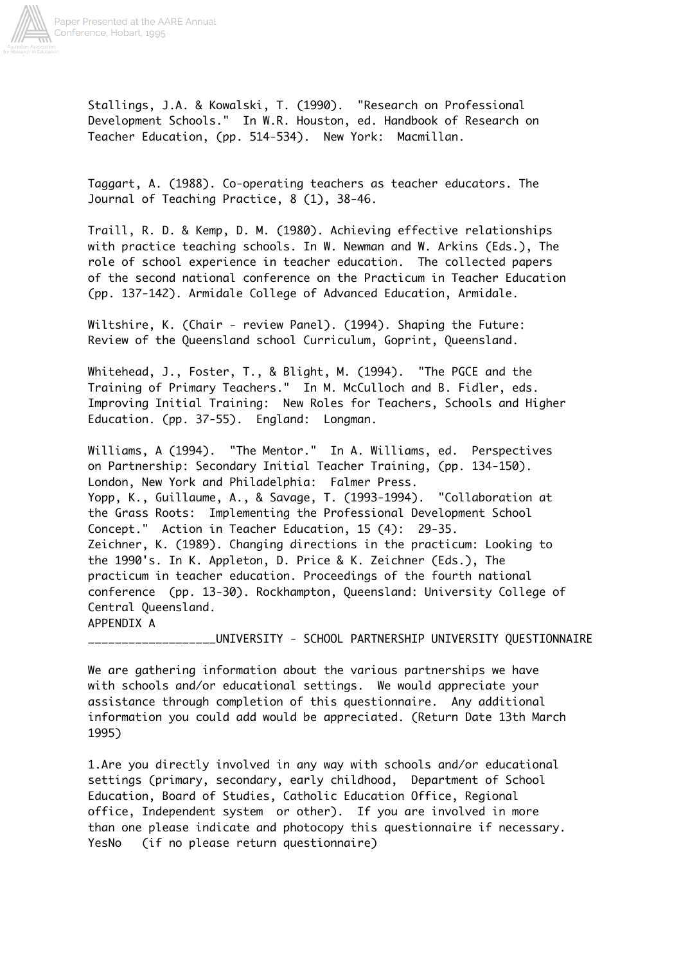

Stallings, J.A. & Kowalski, T. (1990). "Research on Professional Development Schools." In W.R. Houston, ed. Handbook of Research on Teacher Education, (pp. 514-534). New York: Macmillan.

Taggart, A. (1988). Co-operating teachers as teacher educators. The Journal of Teaching Practice, 8 (1), 38-46.

Traill, R. D. & Kemp, D. M. (1980). Achieving effective relationships with practice teaching schools. In W. Newman and W. Arkins (Eds.), The role of school experience in teacher education. The collected papers of the second national conference on the Practicum in Teacher Education (pp. 137-142). Armidale College of Advanced Education, Armidale.

Wiltshire, K. (Chair - review Panel). (1994). Shaping the Future: Review of the Queensland school Curriculum, Goprint, Queensland.

Whitehead, J., Foster, T., & Blight, M. (1994). "The PGCE and the Training of Primary Teachers." In M. McCulloch and B. Fidler, eds. Improving Initial Training: New Roles for Teachers, Schools and Higher Education. (pp. 37-55). England: Longman.

Williams, A (1994). "The Mentor." In A. Williams, ed. Perspectives on Partnership: Secondary Initial Teacher Training, (pp. 134-150). London, New York and Philadelphia: Falmer Press. Yopp, K., Guillaume, A., & Savage, T. (1993-1994). "Collaboration at the Grass Roots: Implementing the Professional Development School Concept." Action in Teacher Education, 15 (4): 29-35. Zeichner, K. (1989). Changing directions in the practicum: Looking to the 1990's. In K. Appleton, D. Price & K. Zeichner (Eds.), The practicum in teacher education. Proceedings of the fourth national conference (pp. 13-30). Rockhampton, Queensland: University College of Central Queensland. APPENDIX A

\_\_\_\_\_\_\_\_\_\_\_\_\_\_\_\_\_\_\_UNIVERSITY - SCHOOL PARTNERSHIP UNIVERSITY QUESTIONNAIRE

We are gathering information about the various partnerships we have with schools and/or educational settings. We would appreciate your assistance through completion of this questionnaire. Any additional information you could add would be appreciated. (Return Date 13th March 1995)

1.Are you directly involved in any way with schools and/or educational settings (primary, secondary, early childhood, Department of School Education, Board of Studies, Catholic Education Office, Regional office, Independent system or other). If you are involved in more than one please indicate and photocopy this questionnaire if necessary. YesNo (if no please return questionnaire)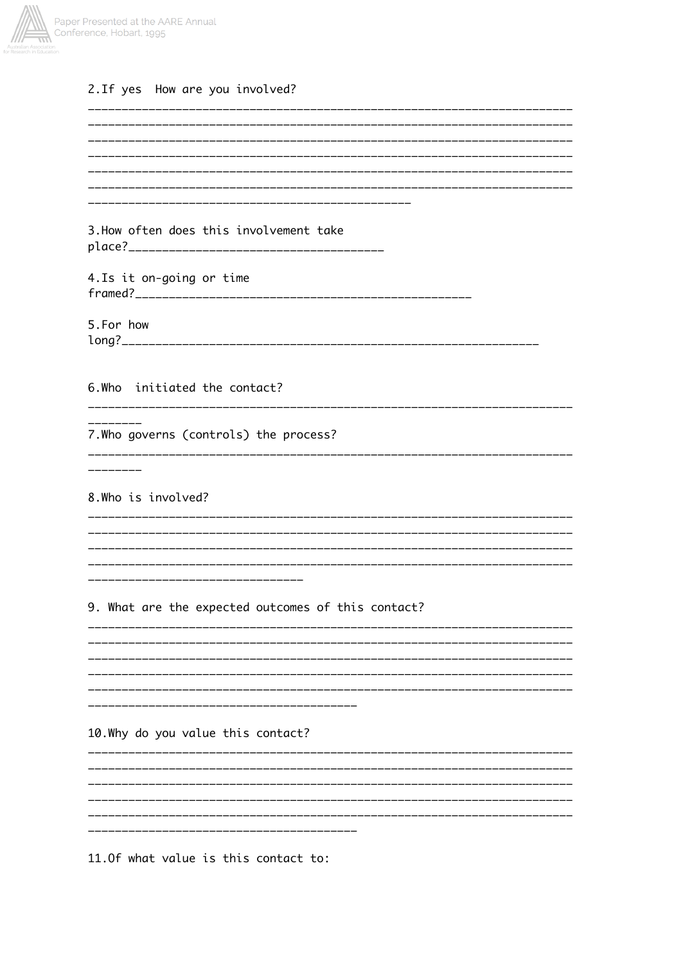

# 2. If yes How are you involved?

| ---------------------------------                              |
|----------------------------------------------------------------|
| 3. How often does this involvement take                        |
|                                                                |
|                                                                |
| 4. Is it on-going or time                                      |
|                                                                |
| 5.For how                                                      |
|                                                                |
|                                                                |
|                                                                |
| 6. Who initiated the contact?                                  |
|                                                                |
| 7. Who governs (controls) the process?                         |
| ______________________________________<br>____________________ |
| --------                                                       |
|                                                                |
| 8. Who is involved?                                            |
|                                                                |
|                                                                |
|                                                                |
| ---------------------------------                              |
|                                                                |
| 9. What are the expected outcomes of this contact?             |
|                                                                |
|                                                                |
|                                                                |
|                                                                |
|                                                                |
| 10. Why do you value this contact?                             |
|                                                                |
|                                                                |
|                                                                |
|                                                                |
|                                                                |
|                                                                |
|                                                                |

11.0f what value is this contact to: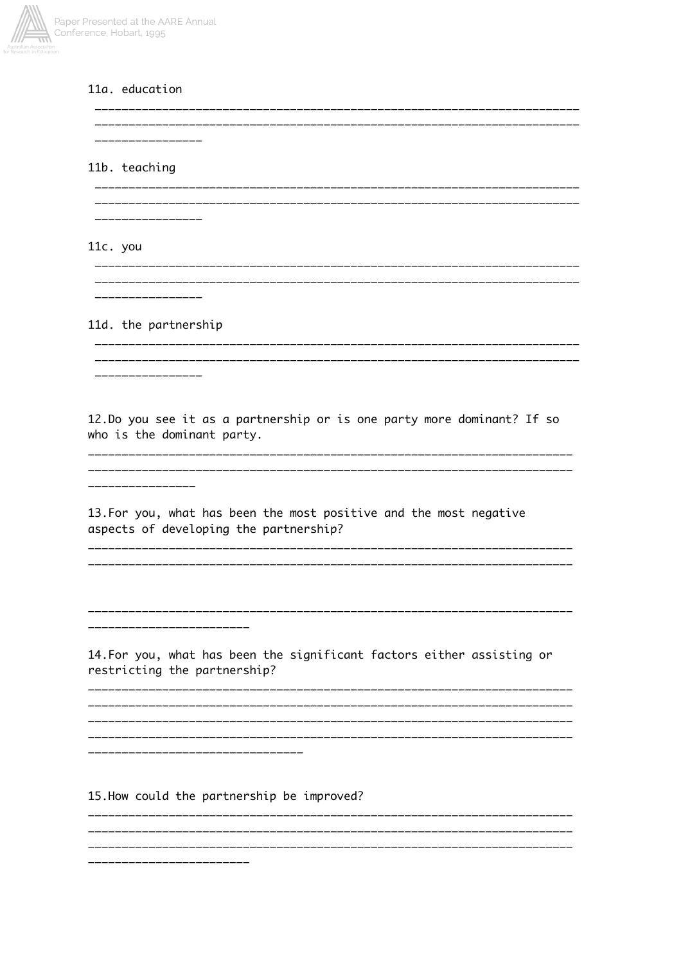

## 11a. education

\_\_\_\_\_\_\_\_\_\_\_\_\_\_\_\_\_ 11b. teaching 11c. you 11d. the partnership 12. Do you see it as a partnership or is one party more dominant? If so who is the dominant party. 13. For you, what has been the most positive and the most negative aspects of developing the partnership? \_\_\_\_\_\_\_\_\_\_\_\_\_\_\_\_\_\_\_\_\_\_\_\_\_ 14. For you, what has been the significant factors either assisting or restricting the partnership? \_\_\_\_\_\_\_\_\_\_\_\_\_\_\_\_\_\_\_\_\_ 15. How could the partnership be improved?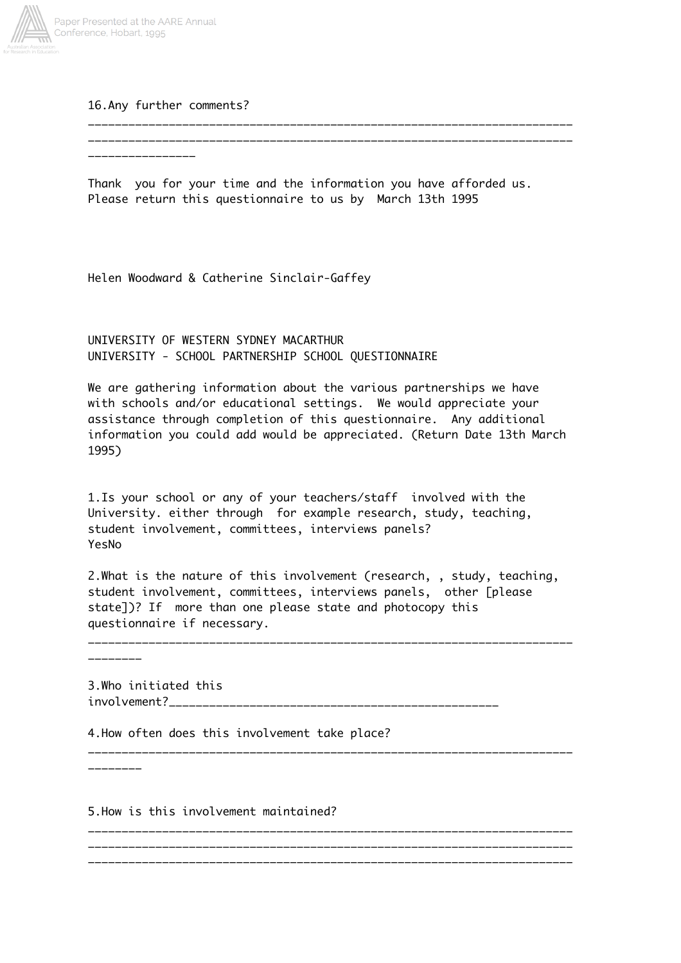

16.Any further comments?

\_\_\_\_\_\_\_\_\_\_\_\_\_\_\_\_\_\_\_\_\_\_\_\_\_\_\_\_\_\_\_\_\_\_\_\_\_\_\_\_\_\_\_\_\_\_\_\_\_\_\_\_\_\_\_\_\_\_\_\_\_\_\_\_\_\_\_\_\_\_\_\_ \_\_\_\_\_\_\_\_\_\_\_\_\_\_\_\_\_\_\_\_\_\_\_\_\_\_\_\_\_\_\_\_\_\_\_\_\_\_\_\_\_\_\_\_\_\_\_\_\_\_\_\_\_\_\_\_\_\_\_\_\_\_\_\_\_\_\_\_\_\_\_\_ \_\_\_\_\_\_\_\_\_\_\_\_\_\_\_\_

Thank you for your time and the information you have afforded us. Please return this questionnaire to us by March 13th 1995

Helen Woodward & Catherine Sinclair-Gaffey

UNIVERSITY OF WESTERN SYDNEY MACARTHUR UNIVERSITY - SCHOOL PARTNERSHIP SCHOOL QUESTIONNAIRE

We are gathering information about the various partnerships we have with schools and/or educational settings. We would appreciate your assistance through completion of this questionnaire. Any additional information you could add would be appreciated. (Return Date 13th March 1995)

1.Is your school or any of your teachers/staff involved with the University. either through for example research, study, teaching, student involvement, committees, interviews panels? YesNo

2.What is the nature of this involvement (research, , study, teaching, student involvement, committees, interviews panels, other [please state])? If more than one please state and photocopy this questionnaire if necessary.

\_\_\_\_\_\_\_\_\_\_\_\_\_\_\_\_\_\_\_\_\_\_\_\_\_\_\_\_\_\_\_\_\_\_\_\_\_\_\_\_\_\_\_\_\_\_\_\_\_\_\_\_\_\_\_\_\_\_\_\_\_\_\_\_\_\_\_\_\_\_\_\_

\_\_\_\_\_\_\_\_\_\_\_\_\_\_\_\_\_\_\_\_\_\_\_\_\_\_\_\_\_\_\_\_\_\_\_\_\_\_\_\_\_\_\_\_\_\_\_\_\_\_\_\_\_\_\_\_\_\_\_\_\_\_\_\_\_\_\_\_\_\_\_\_

\_\_\_\_\_\_\_\_\_\_\_\_\_\_\_\_\_\_\_\_\_\_\_\_\_\_\_\_\_\_\_\_\_\_\_\_\_\_\_\_\_\_\_\_\_\_\_\_\_\_\_\_\_\_\_\_\_\_\_\_\_\_\_\_\_\_\_\_\_\_\_\_ \_\_\_\_\_\_\_\_\_\_\_\_\_\_\_\_\_\_\_\_\_\_\_\_\_\_\_\_\_\_\_\_\_\_\_\_\_\_\_\_\_\_\_\_\_\_\_\_\_\_\_\_\_\_\_\_\_\_\_\_\_\_\_\_\_\_\_\_\_\_\_\_ \_\_\_\_\_\_\_\_\_\_\_\_\_\_\_\_\_\_\_\_\_\_\_\_\_\_\_\_\_\_\_\_\_\_\_\_\_\_\_\_\_\_\_\_\_\_\_\_\_\_\_\_\_\_\_\_\_\_\_\_\_\_\_\_\_\_\_\_\_\_\_\_

3.Who initiated this

involvement?\_\_\_\_\_\_\_\_\_\_\_\_\_\_\_\_\_\_\_\_\_\_\_\_\_\_\_\_\_\_\_\_\_\_\_\_\_\_\_\_\_\_\_\_\_\_\_\_\_

4.How often does this involvement take place?

\_\_\_\_\_\_\_\_

\_\_\_\_\_\_\_\_

5.How is this involvement maintained?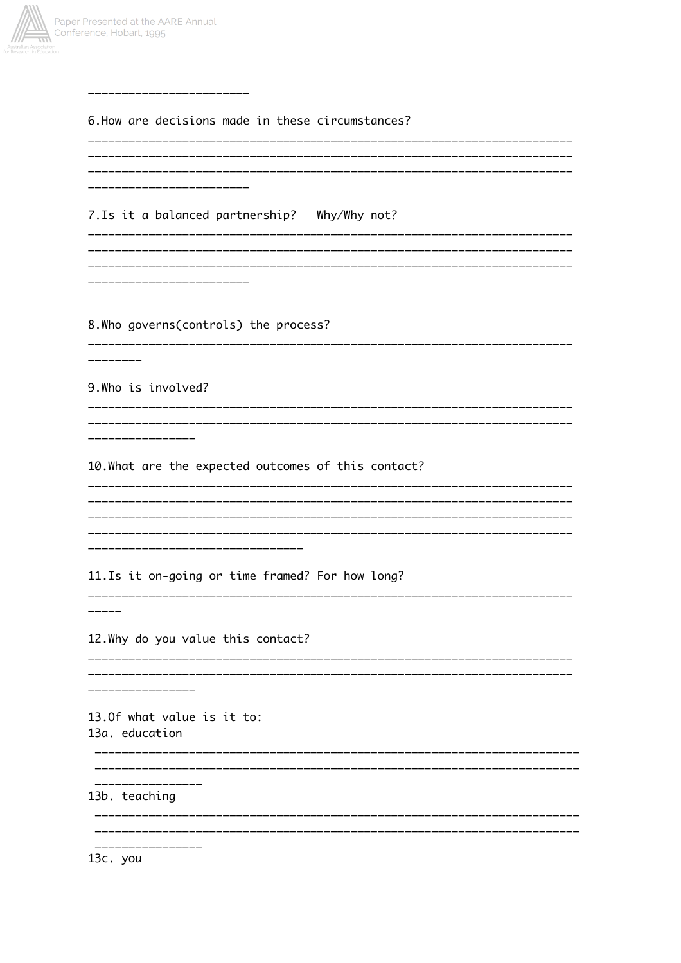

| 6. How are decisions made in these circumstances?<br>------------------------ |
|-------------------------------------------------------------------------------|
|                                                                               |
| ______________________                                                        |
| 7. Is it a balanced partnership? Why/Why not?<br>---------------------------- |
|                                                                               |
| -----------------------                                                       |
|                                                                               |
| 8. Who governs(controls) the process?                                         |
|                                                                               |
| 9. Who is involved?                                                           |
| ---------------                                                               |
| ----------------                                                              |
| 10. What are the expected outcomes of this contact?                           |
| -------------                                                                 |
|                                                                               |
|                                                                               |
| ----------------------------------                                            |
| 11. Is it on-going or time framed? For how long?                              |
|                                                                               |
| 12. Why do you value this contact?                                            |
| _____________<br>--------------------------                                   |
| ________________                                                              |
| 13.0f what value is it to:                                                    |
| 13a. education                                                                |
|                                                                               |
|                                                                               |
| 13b. teaching                                                                 |
|                                                                               |
| 13c. you                                                                      |